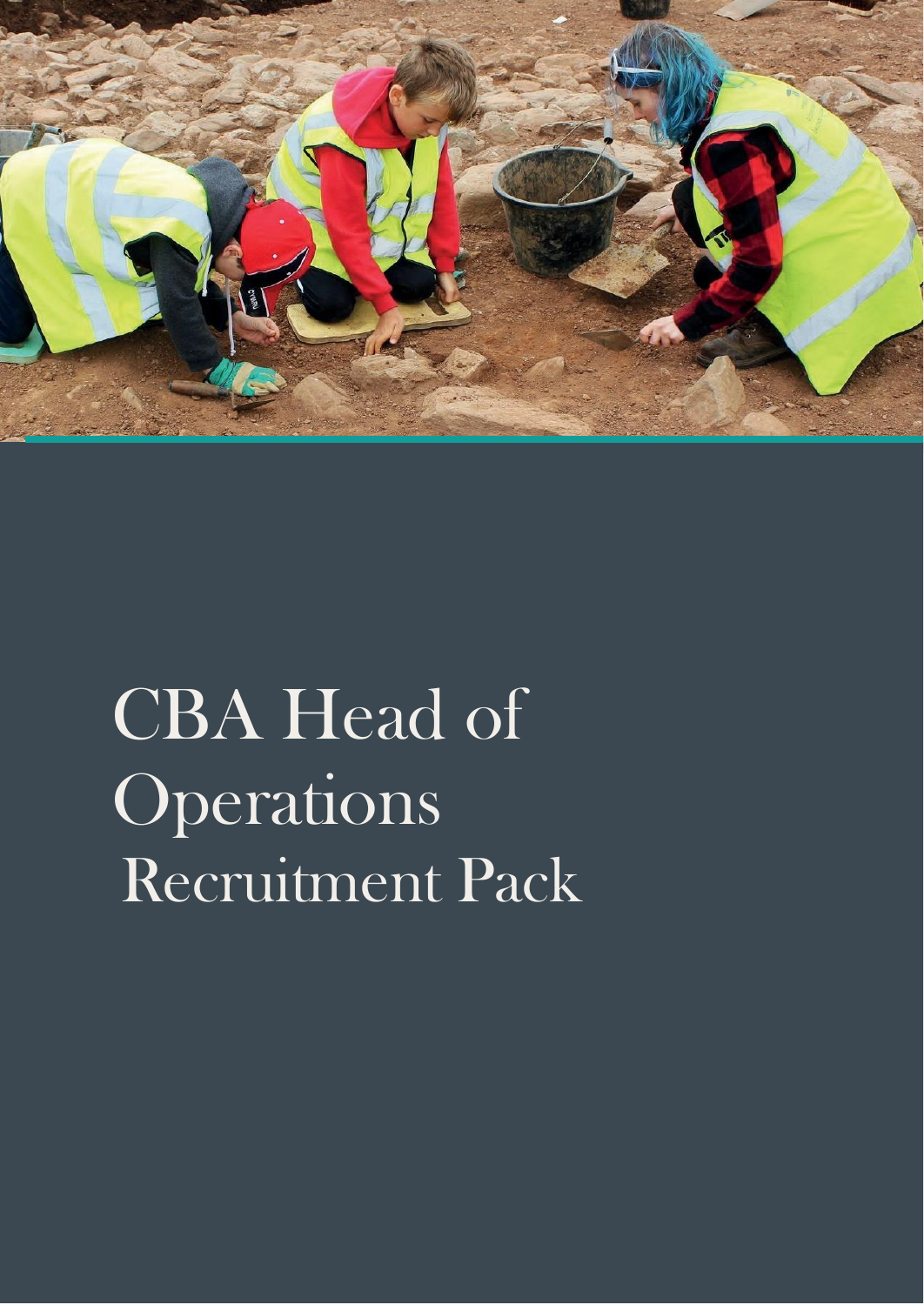

# CBA Head of Operations Recruitment Pack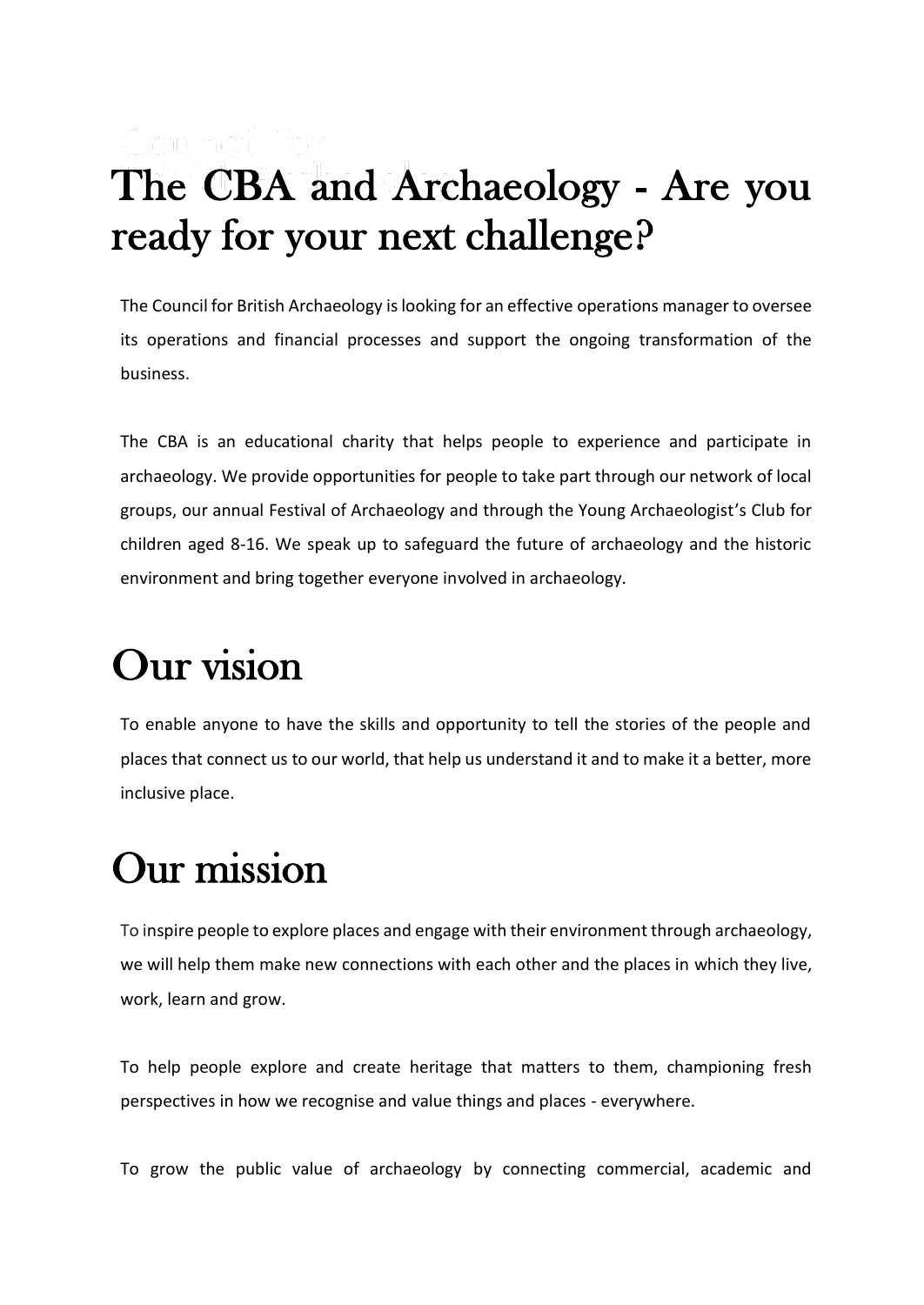### The CBA and Archaeology - Are you ready for your next challenge?

The Council for British Archaeology is looking for an effective operations manager to oversee its operations and financial processes and support the ongoing transformation of the business.

The CBA is an educational charity that helps people to experience and participate in archaeology. We provide opportunities for people to take part through our network of local groups, our annual Festival of Archaeology and through the Young Archaeologist's Club for children aged 8-16. We speak up to safeguard the future of archaeology and the historic environment and bring together everyone involved in archaeology.

### Our vision

To enable anyone to have the skills and opportunity to tell the stories of the people and places that connect us to our world, that help us understand it and to make it a better, more inclusive place.

### Our mission

To inspire people to explore places and engage with their environment through archaeology, we will help them make new connections with each other and the places in which they live, work, learn and grow.

To help people explore and create heritage that matters to them, championing fresh perspectives in how we recognise and value things and places - everywhere.

To grow the public value of archaeology by connecting commercial, academic and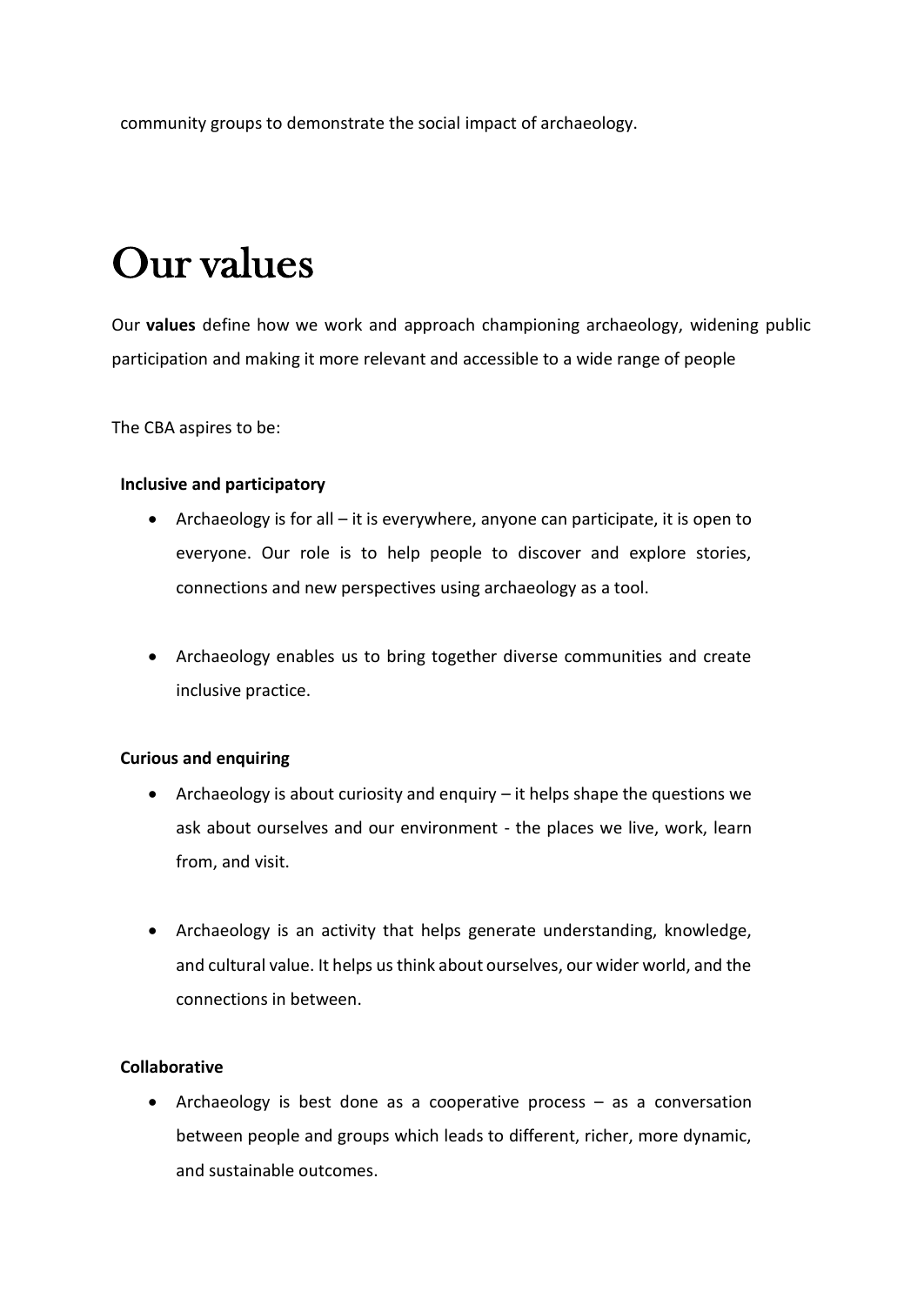community groups to demonstrate the social impact of archaeology.

## Our values

Our **values** define how we work and approach championing archaeology, widening public participation and making it more relevant and accessible to a wide range of people

The CBA aspires to be:

### **Inclusive and participatory**

- Archaeology is for all it is everywhere, anyone can participate, it is open to everyone. Our role is to help people to discover and explore stories, connections and new perspectives using archaeology as a tool.
- Archaeology enables us to bring together diverse communities and create inclusive practice.

#### **Curious and enquiring**

- Archaeology is about curiosity and enquiry it helps shape the questions we ask about ourselves and our environment - the places we live, work, learn from, and visit.
- Archaeology is an activity that helps generate understanding, knowledge, and cultural value. It helps us think about ourselves, our wider world, and the connections in between.

#### **Collaborative**

• Archaeology is best done as a cooperative process – as a conversation between people and groups which leads to different, richer, more dynamic, and sustainable outcomes.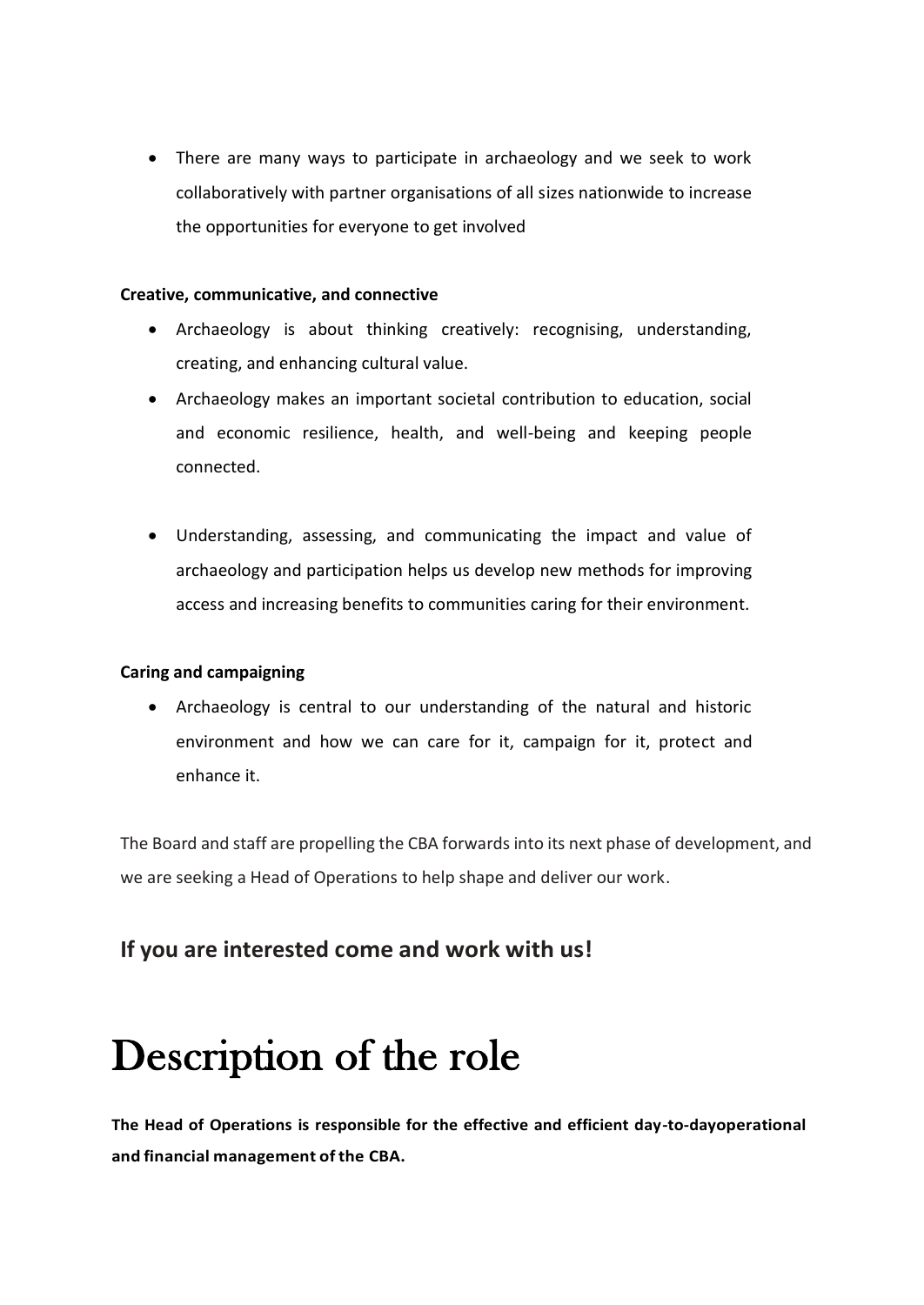• There are many ways to participate in archaeology and we seek to work collaboratively with partner organisations of all sizes nationwide to increase the opportunities for everyone to get involved

#### **Creative, communicative, and connective**

- Archaeology is about thinking creatively: recognising, understanding, creating, and enhancing cultural value.
- Archaeology makes an important societal contribution to education, social and economic resilience, health, and well-being and keeping people connected.
- Understanding, assessing, and communicating the impact and value of archaeology and participation helps us develop new methods for improving access and increasing benefits to communities caring for their environment.

### **Caring and campaigning**

• Archaeology is central to our understanding of the natural and historic environment and how we can care for it, campaign for it, protect and enhance it.

The Board and staff are propelling the CBA forwards into its next phase of development, and we are seeking a Head of Operations to help shape and deliver our work.

### **If you are interested come and work with us!**

### Description of the role

**The Head of Operations is responsible for the effective and efficient day-to-dayoperational and financial management of the CBA.**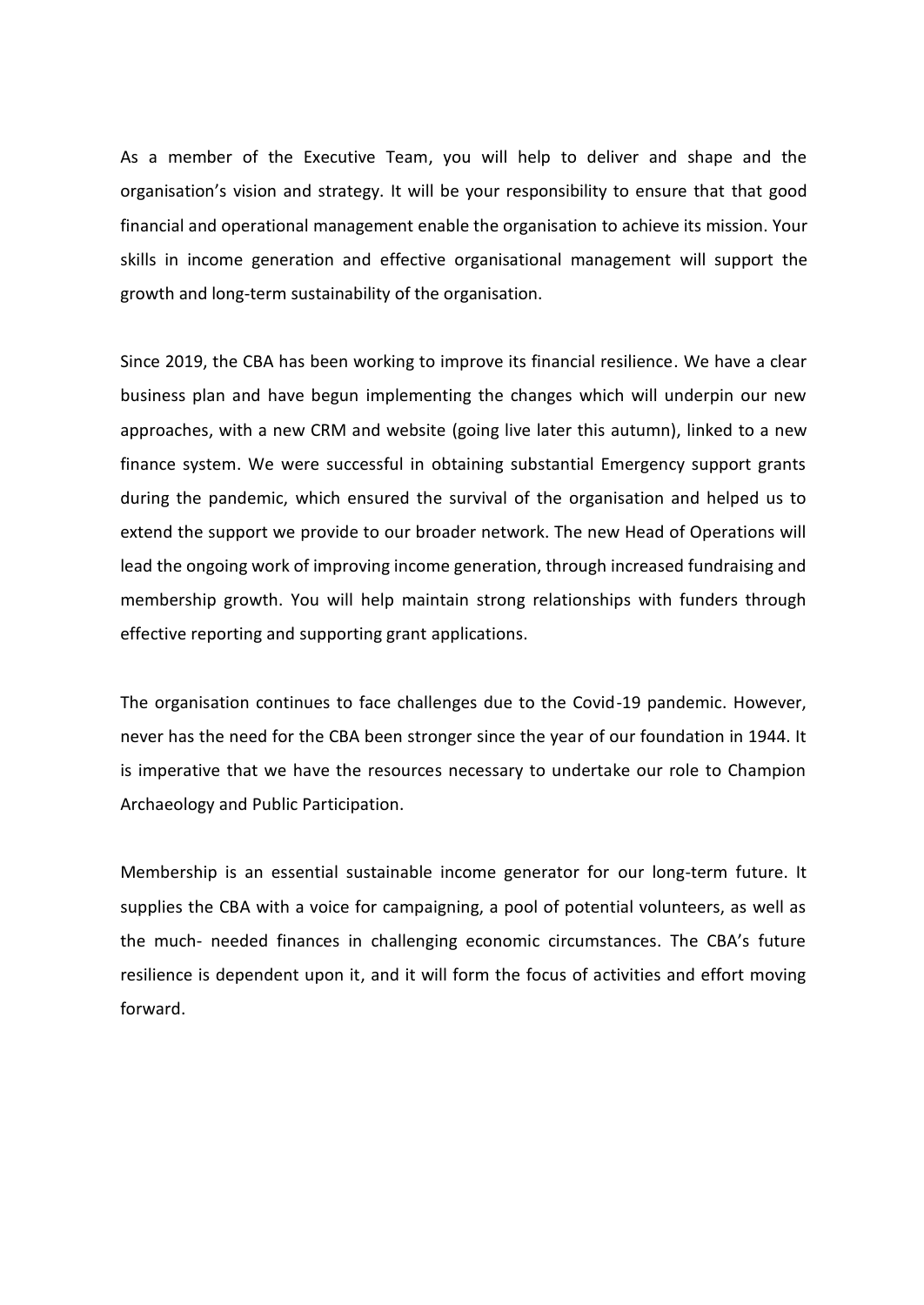As a member of the Executive Team, you will help to deliver and shape and the organisation's vision and strategy. It will be your responsibility to ensure that that good financial and operational management enable the organisation to achieve its mission. Your skills in income generation and effective organisational management will support the growth and long-term sustainability of the organisation.

Since 2019, the CBA has been working to improve its financial resilience. We have a clear business plan and have begun implementing the changes which will underpin our new approaches, with a new CRM and website (going live later this autumn), linked to a new finance system. We were successful in obtaining substantial Emergency support grants during the pandemic, which ensured the survival of the organisation and helped us to extend the support we provide to our broader network. The new Head of Operations will lead the ongoing work of improving income generation, through increased fundraising and membership growth. You will help maintain strong relationships with funders through effective reporting and supporting grant applications.

The organisation continues to face challenges due to the Covid-19 pandemic. However, never has the need for the CBA been stronger since the year of our foundation in 1944. It is imperative that we have the resources necessary to undertake our role to Champion Archaeology and Public Participation.

Membership is an essential sustainable income generator for our long-term future. It supplies the CBA with a voice for campaigning, a pool of potential volunteers, as well as the much- needed finances in challenging economic circumstances. The CBA's future resilience is dependent upon it, and it will form the focus of activities and effort moving forward.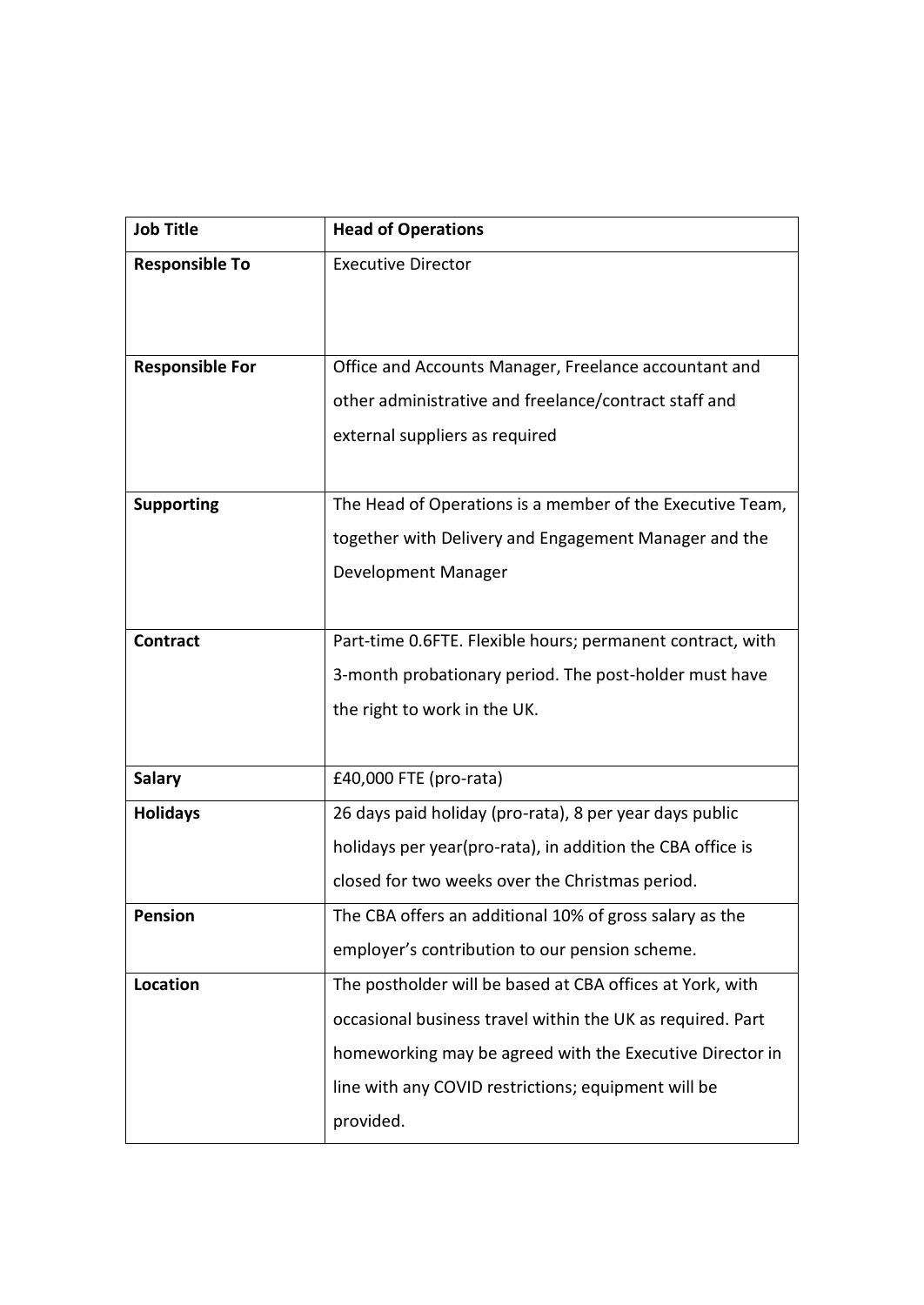| <b>Job Title</b>       | <b>Head of Operations</b>                                  |
|------------------------|------------------------------------------------------------|
| <b>Responsible To</b>  | <b>Executive Director</b>                                  |
|                        |                                                            |
|                        |                                                            |
| <b>Responsible For</b> | Office and Accounts Manager, Freelance accountant and      |
|                        | other administrative and freelance/contract staff and      |
|                        | external suppliers as required                             |
|                        |                                                            |
| <b>Supporting</b>      | The Head of Operations is a member of the Executive Team,  |
|                        | together with Delivery and Engagement Manager and the      |
|                        | Development Manager                                        |
|                        |                                                            |
| <b>Contract</b>        | Part-time 0.6FTE. Flexible hours; permanent contract, with |
|                        | 3-month probationary period. The post-holder must have     |
|                        | the right to work in the UK.                               |
|                        |                                                            |
| <b>Salary</b>          | £40,000 FTE (pro-rata)                                     |
| <b>Holidays</b>        | 26 days paid holiday (pro-rata), 8 per year days public    |
|                        | holidays per year(pro-rata), in addition the CBA office is |
|                        | closed for two weeks over the Christmas period.            |
| <b>Pension</b>         | The CBA offers an additional 10% of gross salary as the    |
|                        | employer's contribution to our pension scheme.             |
| Location               | The postholder will be based at CBA offices at York, with  |
|                        | occasional business travel within the UK as required. Part |
|                        | homeworking may be agreed with the Executive Director in   |
|                        | line with any COVID restrictions; equipment will be        |
|                        | provided.                                                  |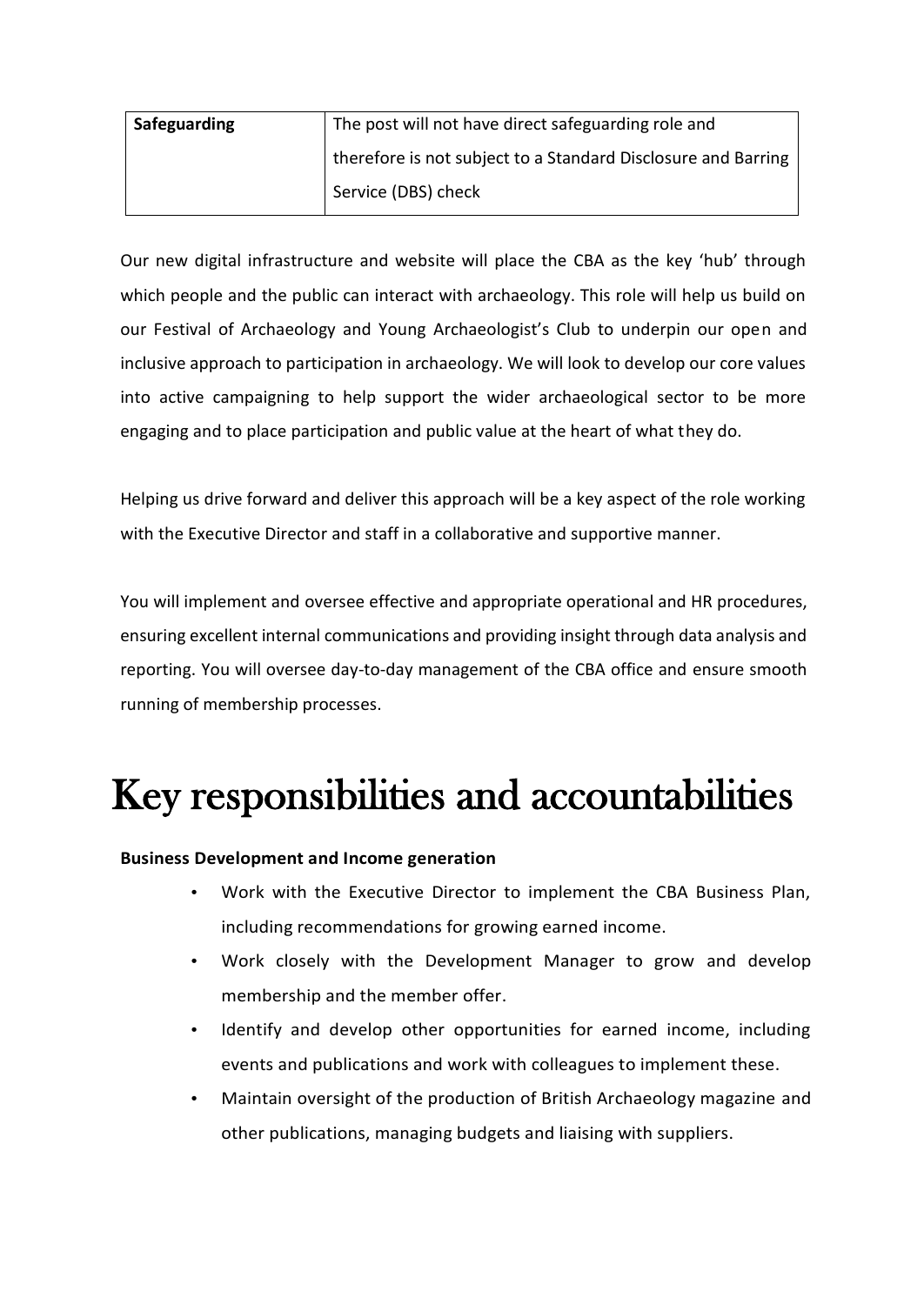| Safeguarding | The post will not have direct safeguarding role and           |
|--------------|---------------------------------------------------------------|
|              | therefore is not subject to a Standard Disclosure and Barring |
|              | Service (DBS) check                                           |

Our new digital infrastructure and website will place the CBA as the key 'hub' through which people and the public can interact with archaeology. This role will help us build on our Festival of Archaeology and Young Archaeologist's Club to underpin our open and inclusive approach to participation in archaeology. We will look to develop our core values into active campaigning to help support the wider archaeological sector to be more engaging and to place participation and public value at the heart of what they do.

Helping us drive forward and deliver this approach will be a key aspect of the role working with the Executive Director and staff in a collaborative and supportive manner.

You will implement and oversee effective and appropriate operational and HR procedures, ensuring excellent internal communications and providing insight through data analysis and reporting. You will oversee day-to-day management of the CBA office and ensure smooth running of membership processes.

### Key responsibilities and accountabilities

### **Business Development and Income generation**

- Work with the Executive Director to implement the CBA Business Plan, including recommendations for growing earned income.
- Work closely with the Development Manager to grow and develop membership and the member offer.
- Identify and develop other opportunities for earned income, including events and publications and work with colleagues to implement these.
- Maintain oversight of the production of British Archaeology magazine and other publications, managing budgets and liaising with suppliers.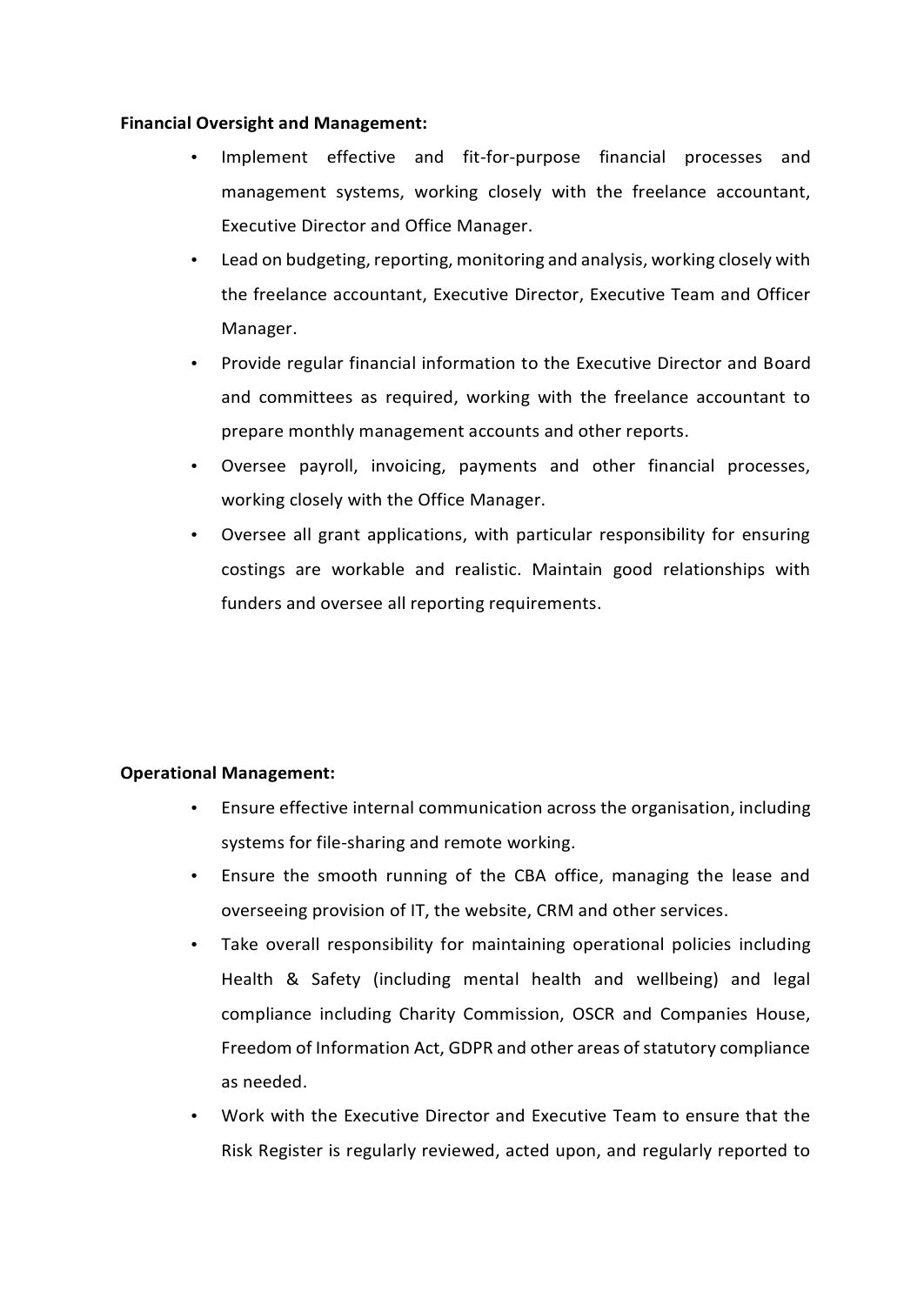### **Financial Oversight and Management:**

- Implement effective and fit-for-purpose financial processes and management systems, working closely with the freelance accountant, Executive Director and Office Manager.
- Lead on budgeting, reporting, monitoring and analysis, working closely with the freelance accountant, Executive Director, Executive Team and Officer Manager.
- Provide regular financial information to the Executive Director and Board and committees as required, working with the freelance accountant to prepare monthly management accounts and other reports.
- Oversee payroll, invoicing, payments and other financial processes, working closely with the Office Manager.
- Oversee all grant applications, with particular responsibility for ensuring costings are workable and realistic. Maintain good relationships with funders and oversee all reporting requirements.

### **Operational Management:**

- Ensure effective internal communication across the organisation, including systems for file-sharing and remote working.
- Ensure the smooth running of the CBA office, managing the lease and overseeing provision of IT, the website, CRM and other services.
- Take overall responsibility for maintaining operational policies including Health & Safety (including mental health and wellbeing) and legal compliance including Charity Commission, OSCR and Companies House, Freedom of Information Act, GDPR and other areas of statutory compliance as needed.
- Work with the Executive Director and Executive Team to ensure that the Risk Register is regularly reviewed, acted upon, and regularly reported to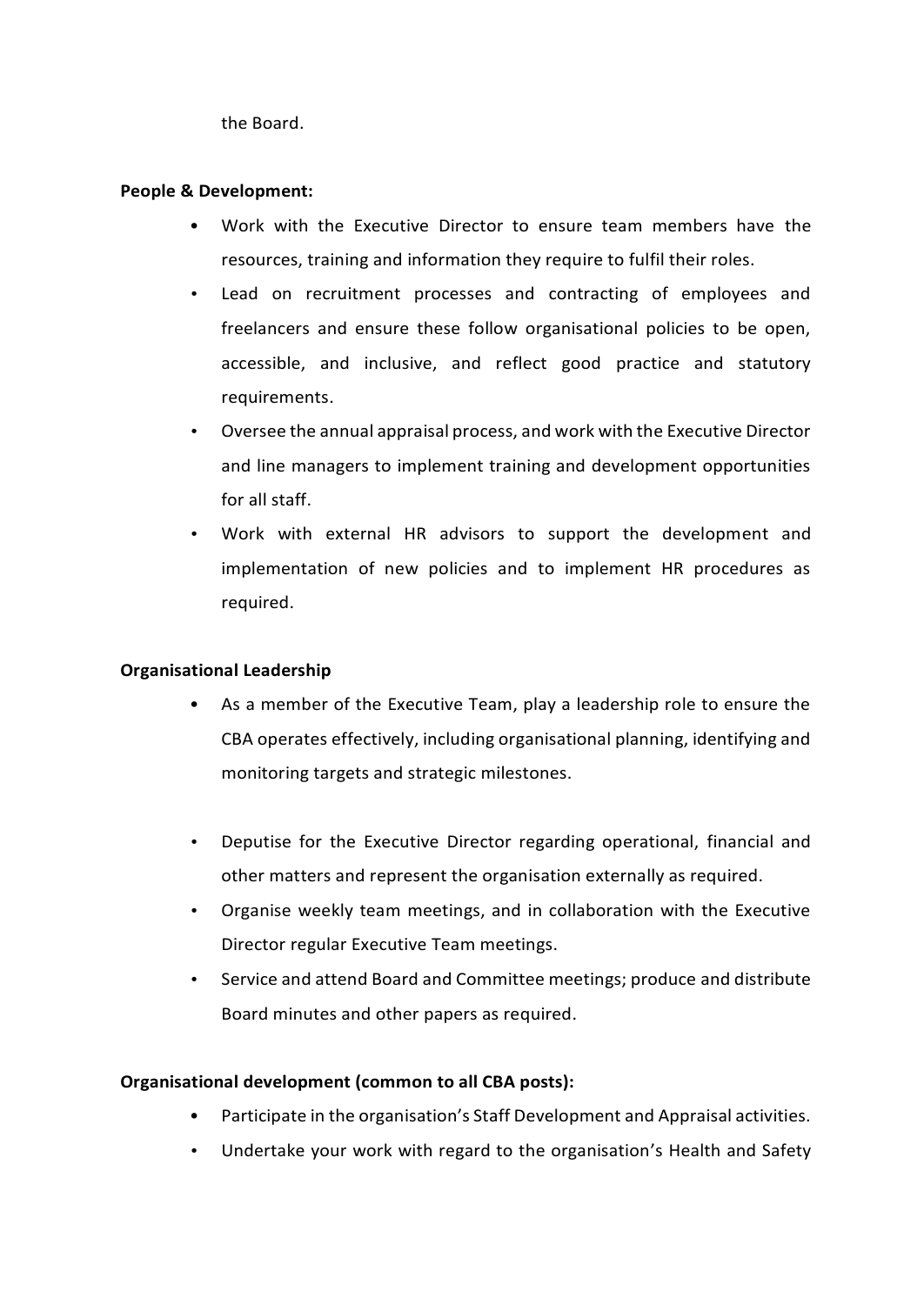the Board.

### **People & Development:**

- **•** Work with the Executive Director to ensure team members have the resources, training and information they require to fulfil their roles.
- Lead on recruitment processes and contracting of employees and freelancers and ensure these follow organisational policies to be open, accessible, and inclusive, and reflect good practice and statutory requirements.
- Oversee the annual appraisal process, and work with the Executive Director and line managers to implement training and development opportunities for all staff.
- Work with external HR advisors to support the development and implementation of new policies and to implement HR procedures as required.

### **Organisational Leadership**

- **•** As a member of the Executive Team, play a leadership role to ensure the CBA operates effectively, including organisational planning, identifying and monitoring targets and strategic milestones.
- Deputise for the Executive Director regarding operational, financial and other matters and represent the organisation externally as required.
- Organise weekly team meetings, and in collaboration with the Executive Director regular Executive Team meetings.
- Service and attend Board and Committee meetings; produce and distribute Board minutes and other papers as required.

### **Organisational development (common to all CBA posts):**

- **•** Participate in the organisation's Staff Development and Appraisal activities.
- Undertake your work with regard to the organisation's Health and Safety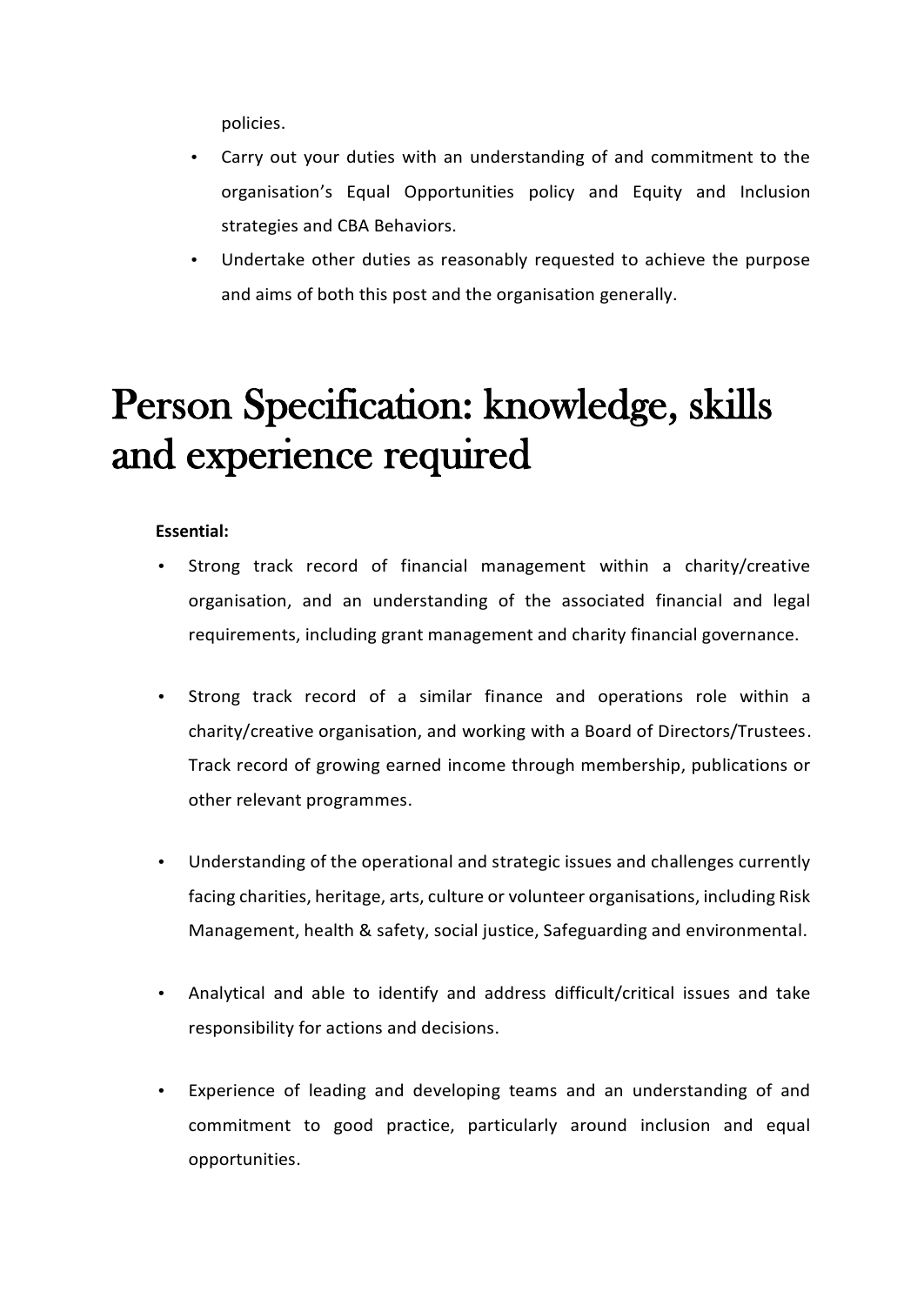policies.

- Carry out your duties with an understanding of and commitment to the organisation's Equal Opportunities policy and Equity and Inclusion strategies and CBA Behaviors.
- Undertake other duties as reasonably requested to achieve the purpose and aims of both this post and the organisation generally.

### Person Specification: knowledge, skills and experience required

### **Essential:**

- Strong track record of financial management within a charity/creative organisation, and an understanding of the associated financial and legal requirements, including grant management and charity financial governance.
- Strong track record of a similar finance and operations role within a charity/creative organisation, and working with a Board of Directors/Trustees. Track record of growing earned income through membership, publications or other relevant programmes.
- Understanding of the operational and strategic issues and challenges currently facing charities, heritage, arts, culture or volunteer organisations, including Risk Management, health & safety, social justice, Safeguarding and environmental.
- Analytical and able to identify and address difficult/critical issues and take responsibility for actions and decisions.
- Experience of leading and developing teams and an understanding of and commitment to good practice, particularly around inclusion and equal opportunities.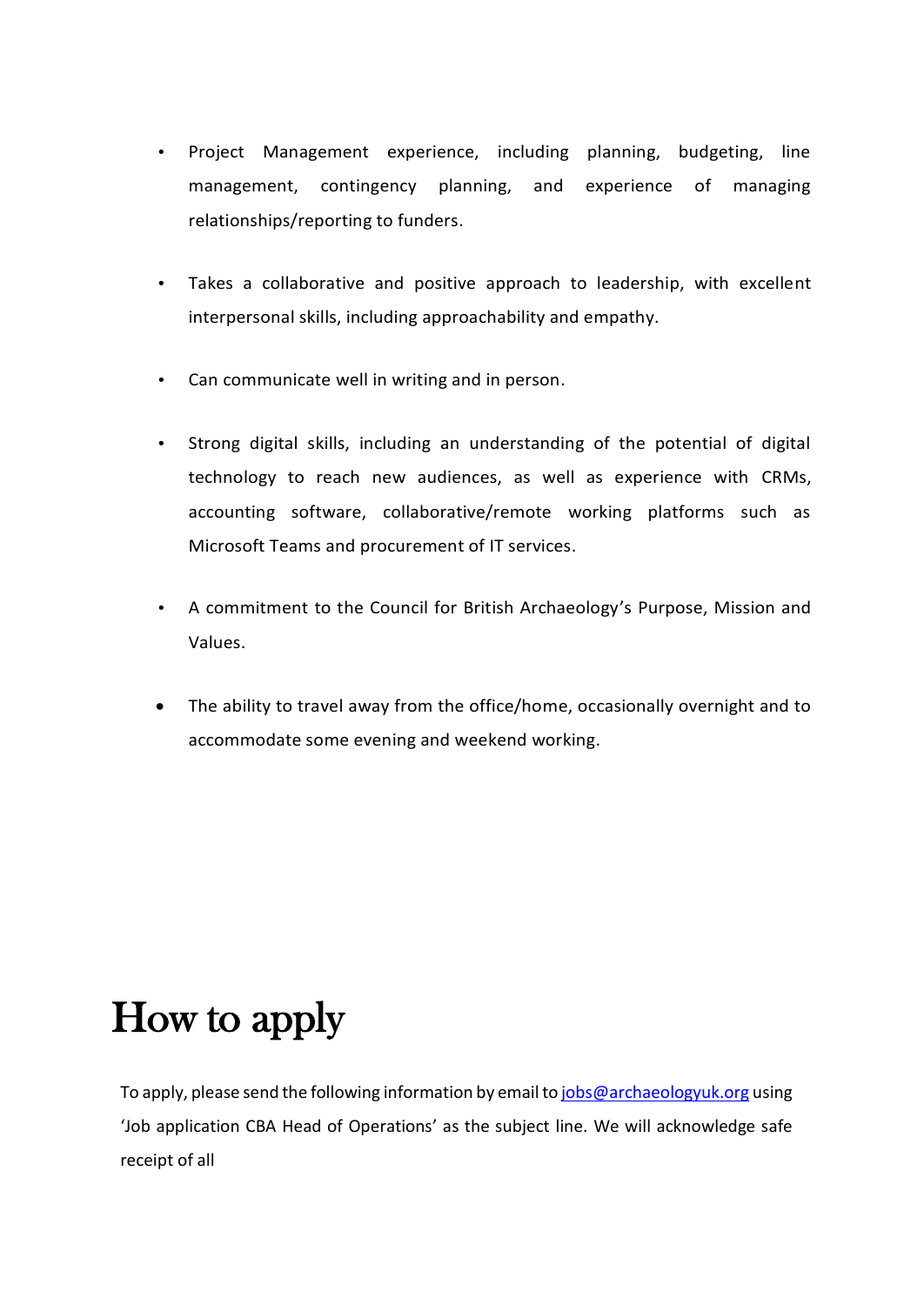- Project Management experience, including planning, budgeting, line management, contingency planning, and experience of managing relationships/reporting to funders.
- Takes a collaborative and positive approach to leadership, with excellent interpersonal skills, including approachability and empathy.
- Can communicate well in writing and in person.
- Strong digital skills, including an understanding of the potential of digital technology to reach new audiences, as well as experience with CRMs, accounting software, collaborative/remote working platforms such as Microsoft Teams and procurement of IT services.
- A commitment to the Council for British Archaeology's Purpose, Mission and Values.
- The ability to travel away from the office/home, occasionally overnight and to accommodate some evening and weekend working.

### How to apply

To apply, please send the following information by email to [jobs@archaeologyuk.org](mailto:jobs@archaeologyuk.org) using 'Job application CBA Head of Operations' as the subject line. We will acknowledge safe receipt of all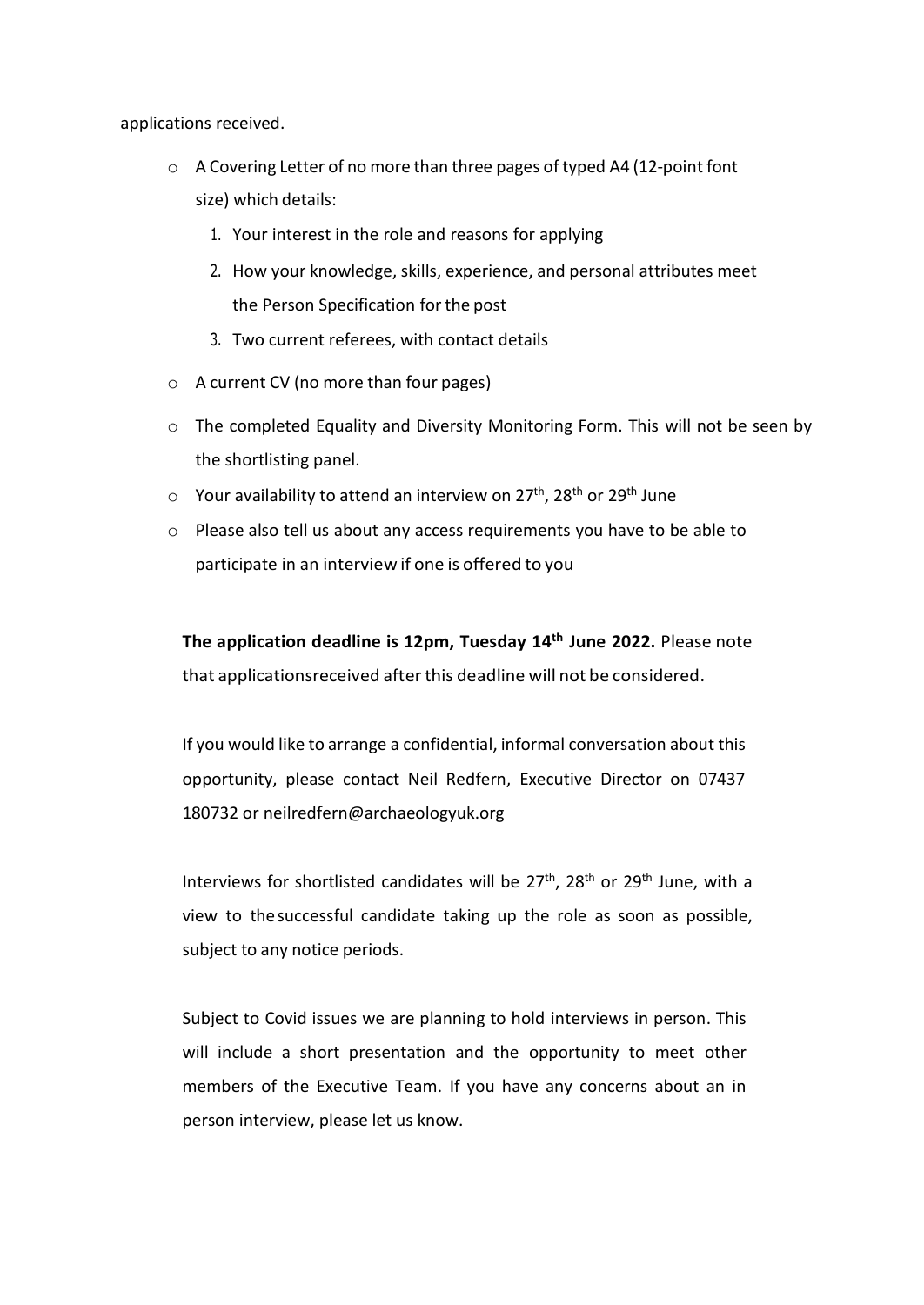applications received.

- o A Covering Letter of no more than three pages of typed A4 (12-point font size) which details:
	- 1. Your interest in the role and reasons for applying
	- 2. How your knowledge, skills, experience, and personal attributes meet the Person Specification for the post
	- 3. Two current referees, with contact details
- o A current CV (no more than four pages)
- $\circ$  The completed Equality and Diversity Monitoring Form. This will not be seen by the shortlisting panel.
- $\circ$  Your availability to attend an interview on 27<sup>th</sup>, 28<sup>th</sup> or 29<sup>th</sup> June
- o Please also tell us about any access requirements you have to be able to participate in an interview if one is offered to you

**The application deadline is 12pm, Tuesday 14th June 2022.** Please note that applicationsreceived after this deadline will not be considered.

If you would like to arrange a confidential, informal conversation about this opportunity, please contact Neil Redfern, Executive Director on 07437 180732 or neilredfern@archaeologyuk.org

Interviews for shortlisted candidates will be  $27<sup>th</sup>$ ,  $28<sup>th</sup>$  or  $29<sup>th</sup>$  June, with a view to thesuccessful candidate taking up the role as soon as possible, subject to any notice periods.

Subject to Covid issues we are planning to hold interviews in person. This will include a short presentation and the opportunity to meet other members of the Executive Team. If you have any concerns about an in person interview, please let us know.